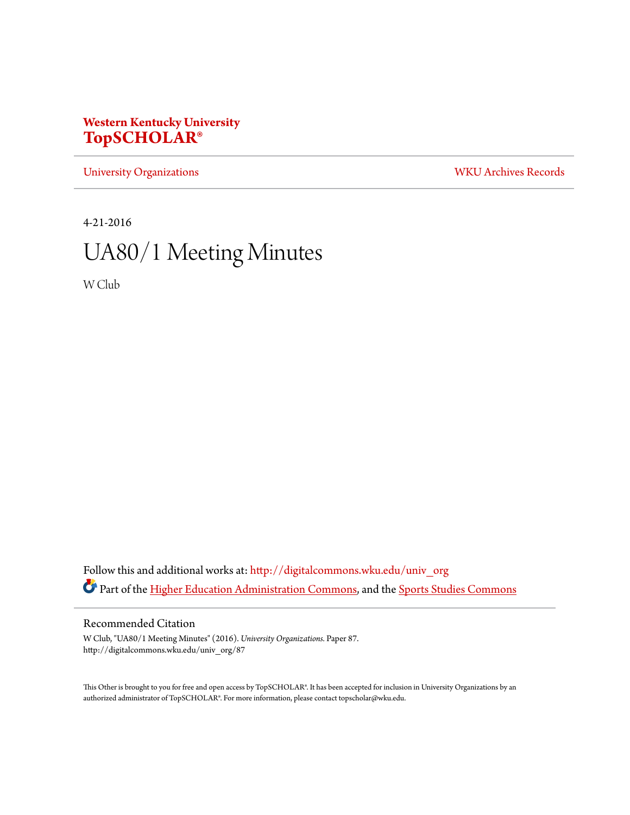# **Western Kentucky University [TopSCHOLAR®](http://digitalcommons.wku.edu?utm_source=digitalcommons.wku.edu%2Funiv_org%2F87&utm_medium=PDF&utm_campaign=PDFCoverPages)**

[University Organizations](http://digitalcommons.wku.edu/univ_org?utm_source=digitalcommons.wku.edu%2Funiv_org%2F87&utm_medium=PDF&utm_campaign=PDFCoverPages) [WKU Archives Records](http://digitalcommons.wku.edu/dlsc_ua_records?utm_source=digitalcommons.wku.edu%2Funiv_org%2F87&utm_medium=PDF&utm_campaign=PDFCoverPages)

4-21-2016

# UA80/1 Meeting Minutes

W Club

Follow this and additional works at: [http://digitalcommons.wku.edu/univ\\_org](http://digitalcommons.wku.edu/univ_org?utm_source=digitalcommons.wku.edu%2Funiv_org%2F87&utm_medium=PDF&utm_campaign=PDFCoverPages) Part of the [Higher Education Administration Commons](http://network.bepress.com/hgg/discipline/791?utm_source=digitalcommons.wku.edu%2Funiv_org%2F87&utm_medium=PDF&utm_campaign=PDFCoverPages), and the [Sports Studies Commons](http://network.bepress.com/hgg/discipline/1198?utm_source=digitalcommons.wku.edu%2Funiv_org%2F87&utm_medium=PDF&utm_campaign=PDFCoverPages)

# Recommended Citation

W Club, "UA80/1 Meeting Minutes" (2016). *University Organizations.* Paper 87. http://digitalcommons.wku.edu/univ\_org/87

This Other is brought to you for free and open access by TopSCHOLAR®. It has been accepted for inclusion in University Organizations by an authorized administrator of TopSCHOLAR®. For more information, please contact topscholar@wku.edu.